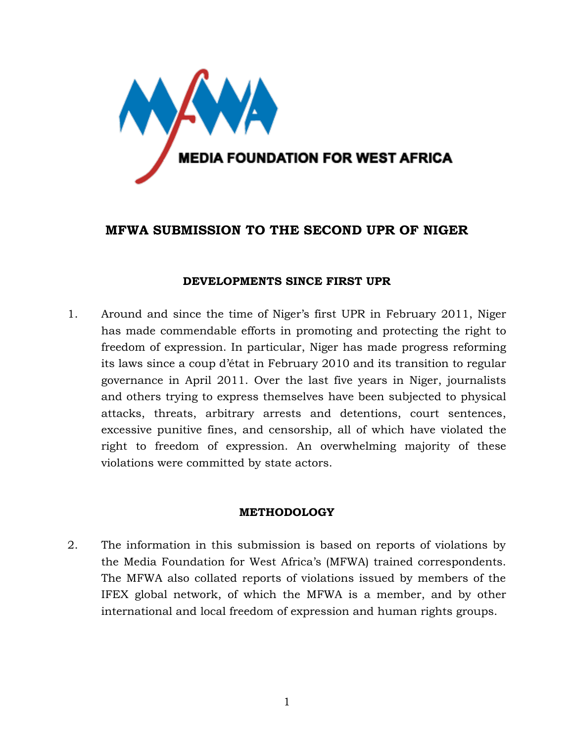

# **MFWA SUBMISSION TO THE SECOND UPR OF NIGER**

## **DEVELOPMENTS SINCE FIRST UPR**

1. Around and since the time of Niger's first UPR in February 2011, Niger has made commendable efforts in promoting and protecting the right to freedom of expression. In particular, Niger has made progress reforming its laws since a coup d'état in February 2010 and its transition to regular governance in April 2011. Over the last five years in Niger, journalists and others trying to express themselves have been subjected to physical attacks, threats, arbitrary arrests and detentions, court sentences, excessive punitive fines, and censorship, all of which have violated the right to freedom of expression. An overwhelming majority of these violations were committed by state actors.

## **METHODOLOGY**

2. The information in this submission is based on reports of violations by the Media Foundation for West Africa's (MFWA) trained correspondents. The MFWA also collated reports of violations issued by members of the IFEX global network, of which the MFWA is a member, and by other international and local freedom of expression and human rights groups.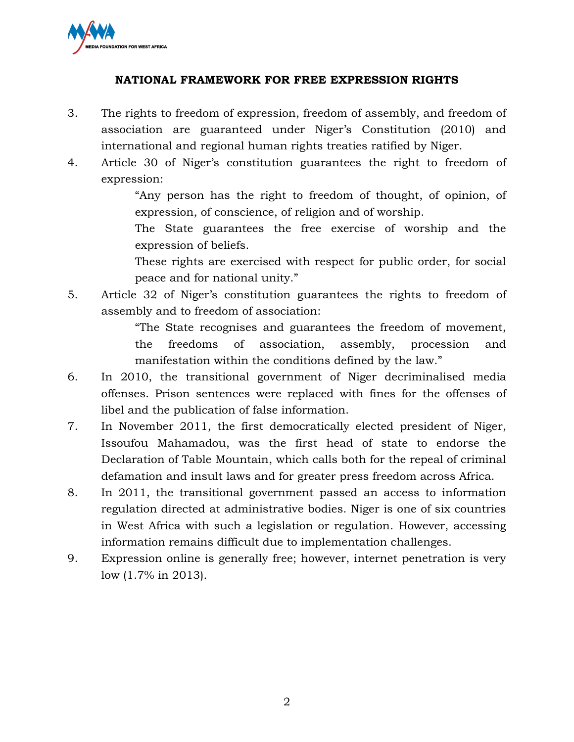

## **NATIONAL FRAMEWORK FOR FREE EXPRESSION RIGHTS**

- 3. The rights to freedom of expression, freedom of assembly, and freedom of association are guaranteed under Niger's Constitution (2010) and international and regional human rights treaties ratified by Niger.
- 4. Article 30 of Niger's constitution guarantees the right to freedom of expression:

"Any person has the right to freedom of thought, of opinion, of expression, of conscience, of religion and of worship.

The State guarantees the free exercise of worship and the expression of beliefs.

These rights are exercised with respect for public order, for social peace and for national unity."

5. Article 32 of Niger's constitution guarantees the rights to freedom of assembly and to freedom of association:

> "The State recognises and guarantees the freedom of movement, the freedoms of association, assembly, procession and manifestation within the conditions defined by the law."

- 6. In 2010, the transitional government of Niger decriminalised media offenses. Prison sentences were replaced with fines for the offenses of libel and the publication of false information.
- 7. In November 2011, the first democratically elected president of Niger, Issoufou Mahamadou, was the first head of state to endorse the Declaration of Table Mountain, which calls both for the repeal of criminal defamation and insult laws and for greater press freedom across Africa.
- 8. In 2011, the transitional government passed an access to information regulation directed at administrative bodies. Niger is one of six countries in West Africa with such a legislation or regulation. However, accessing information remains difficult due to implementation challenges.
- 9. Expression online is generally free; however, internet penetration is very low (1.7% in 2013).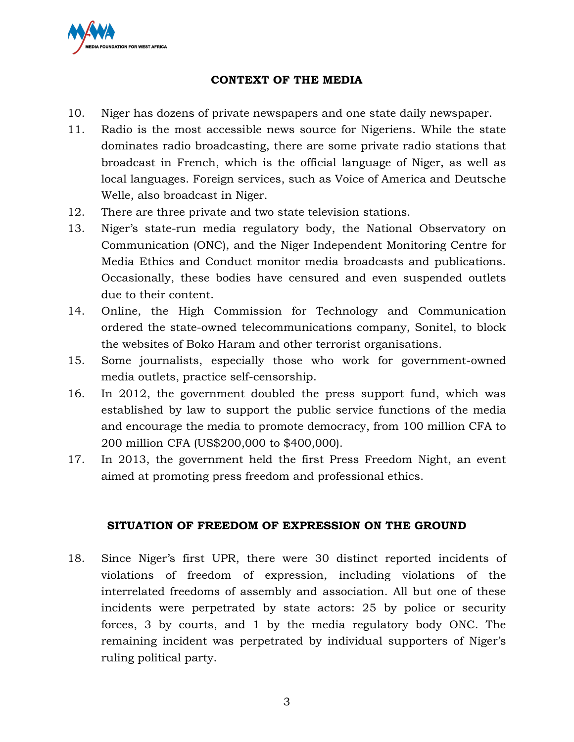

## **CONTEXT OF THE MEDIA**

- 10. Niger has dozens of private newspapers and one state daily newspaper.
- 11. Radio is the most accessible news source for Nigeriens. While the state dominates radio broadcasting, there are some private radio stations that broadcast in French, which is the official language of Niger, as well as local languages. Foreign services, such as Voice of America and Deutsche Welle, also broadcast in Niger.
- 12. There are three private and two state television stations.
- 13. Niger's state-run media regulatory body, the National Observatory on Communication (ONC), and the Niger Independent Monitoring Centre for Media Ethics and Conduct monitor media broadcasts and publications. Occasionally, these bodies have censured and even suspended outlets due to their content.
- 14. Online, the High Commission for Technology and Communication ordered the state-owned telecommunications company, Sonitel, to block the websites of Boko Haram and other terrorist organisations.
- 15. Some journalists, especially those who work for government-owned media outlets, practice self-censorship.
- 16. In 2012, the government doubled the press support fund, which was established by law to support the public service functions of the media and encourage the media to promote democracy, from 100 million CFA to 200 million CFA (US\$200,000 to \$400,000).
- 17. In 2013, the government held the first Press Freedom Night, an event aimed at promoting press freedom and professional ethics.

## **SITUATION OF FREEDOM OF EXPRESSION ON THE GROUND**

18. Since Niger's first UPR, there were 30 distinct reported incidents of violations of freedom of expression, including violations of the interrelated freedoms of assembly and association. All but one of these incidents were perpetrated by state actors: 25 by police or security forces, 3 by courts, and 1 by the media regulatory body ONC. The remaining incident was perpetrated by individual supporters of Niger's ruling political party.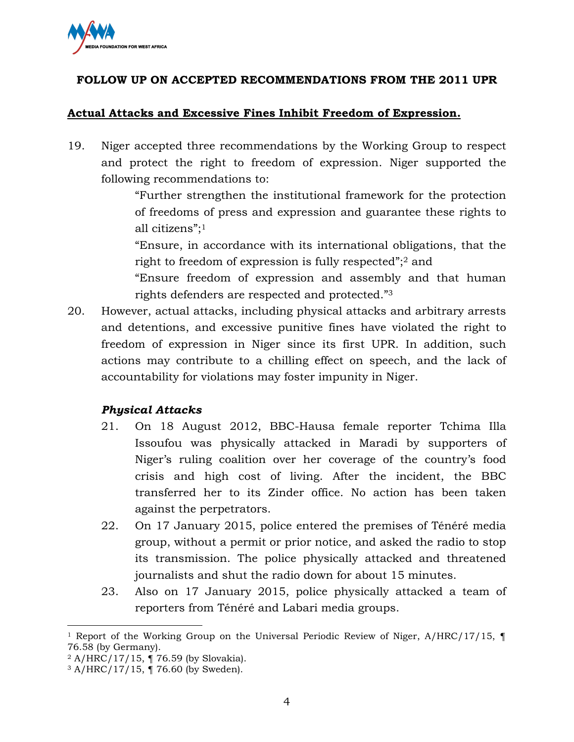

# **FOLLOW UP ON ACCEPTED RECOMMENDATIONS FROM THE 2011 UPR**

## **Actual Attacks and Excessive Fines Inhibit Freedom of Expression.**

19. Niger accepted three recommendations by the Working Group to respect and protect the right to freedom of expression. Niger supported the following recommendations to:

> "Further strengthen the institutional framework for the protection of freedoms of press and expression and guarantee these rights to all citizens"; 1

> "Ensure, in accordance with its international obligations, that the right to freedom of expression is fully respected"; <sup>2</sup> and

> "Ensure freedom of expression and assembly and that human rights defenders are respected and protected." 3

20. However, actual attacks, including physical attacks and arbitrary arrests and detentions, and excessive punitive fines have violated the right to freedom of expression in Niger since its first UPR. In addition, such actions may contribute to a chilling effect on speech, and the lack of accountability for violations may foster impunity in Niger.

# *Physical Attacks*

- 21. On 18 August 2012, BBC-Hausa female reporter Tchima Illa Issoufou was physically attacked in Maradi by supporters of Niger's ruling coalition over her coverage of the country's food crisis and high cost of living. After the incident, the BBC transferred her to its Zinder office. No action has been taken against the perpetrators.
- 22. On 17 January 2015, police entered the premises of Ténéré media group, without a permit or prior notice, and asked the radio to stop its transmission. The police physically attacked and threatened journalists and shut the radio down for about 15 minutes.
- 23. Also on 17 January 2015, police physically attacked a team of reporters from Ténéré and Labari media groups.

 $\overline{a}$ 

<sup>&</sup>lt;sup>1</sup> Report of the Working Group on the Universal Periodic Review of Niger,  $A/HRC/17/15$ ,  $\P$ 76.58 (by Germany).

<sup>2</sup> A/HRC/17/15, ¶ 76.59 (by Slovakia).

<sup>3</sup> A/HRC/17/15, ¶ 76.60 (by Sweden).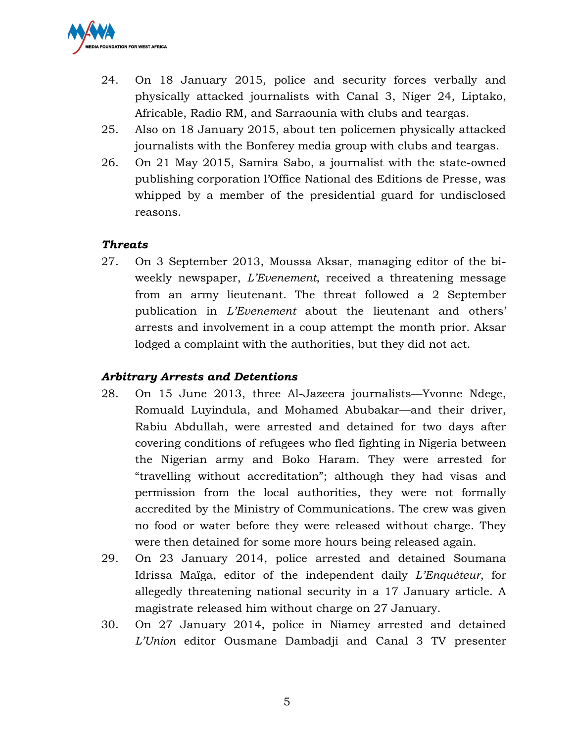

- 24. On 18 January 2015, police and security forces verbally and physically attacked journalists with Canal 3, Niger 24, Liptako, Africable, Radio RM, and Sarraounia with clubs and teargas.
- 25. Also on 18 January 2015, about ten policemen physically attacked journalists with the Bonferey media group with clubs and teargas.
- 26. On 21 May 2015, Samira Sabo, a journalist with the state-owned publishing corporation l'Office National des Editions de Presse, was whipped by a member of the presidential guard for undisclosed reasons.

## *Threats*

27. On 3 September 2013, Moussa Aksar, managing editor of the biweekly newspaper, *L'Evenement*, received a threatening message from an army lieutenant. The threat followed a 2 September publication in *L'Evenement* about the lieutenant and others' arrests and involvement in a coup attempt the month prior. Aksar lodged a complaint with the authorities, but they did not act.

## *Arbitrary Arrests and Detentions*

- 28. On 15 June 2013, three Al-Jazeera journalists—Yvonne Ndege, Romuald Luyindula, and Mohamed Abubakar—and their driver, Rabiu Abdullah, were arrested and detained for two days after covering conditions of refugees who fled fighting in Nigeria between the Nigerian army and Boko Haram. They were arrested for "travelling without accreditation"; although they had visas and permission from the local authorities, they were not formally accredited by the Ministry of Communications. The crew was given no food or water before they were released without charge. They were then detained for some more hours being released again.
- 29. On 23 January 2014, police arrested and detained Soumana Idrissa Maïga, editor of the independent daily *L'Enquêteur*, for allegedly threatening national security in a 17 January article. A magistrate released him without charge on 27 January.
- 30. On 27 January 2014, police in Niamey arrested and detained *L'Union* editor Ousmane Dambadji and Canal 3 TV presenter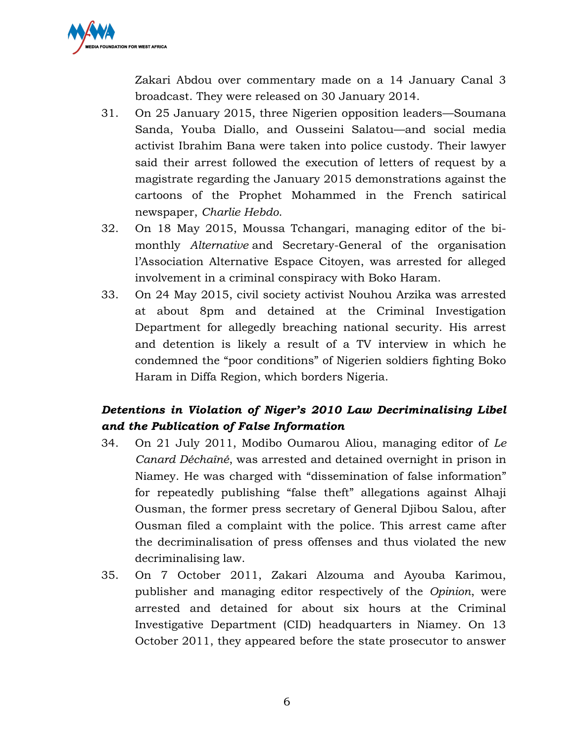

Zakari Abdou over commentary made on a 14 January Canal 3 broadcast. They were released on 30 January 2014.

- 31. On 25 January 2015, three Nigerien opposition leaders—Soumana Sanda, Youba Diallo, and Ousseini Salatou—and social media activist Ibrahim Bana were taken into police custody. Their lawyer said their arrest followed the execution of letters of request by a magistrate regarding the January 2015 demonstrations against the cartoons of the Prophet Mohammed in the French satirical newspaper, *Charlie Hebdo*.
- 32. On 18 May 2015, Moussa Tchangari, managing editor of the bimonthly *Alternative* and Secretary-General of the organisation l'Association Alternative Espace Citoyen, was arrested for alleged involvement in a criminal conspiracy with Boko Haram.
- 33. On 24 May 2015, civil society activist Nouhou Arzika was arrested at about 8pm and detained at the Criminal Investigation Department for allegedly breaching national security. His arrest and detention is likely a result of a TV interview in which he condemned the "poor conditions" of Nigerien soldiers fighting Boko Haram in Diffa Region, which borders Nigeria.

# *Detentions in Violation of Niger's 2010 Law Decriminalising Libel and the Publication of False Information*

- 34. On 21 July 2011, Modibo Oumarou Aliou, managing editor of *Le Canard Déchaîné*, was arrested and detained overnight in prison in Niamey. He was charged with "dissemination of false information" for repeatedly publishing "false theft" allegations against Alhaji Ousman, the former press secretary of General Djibou Salou, after Ousman filed a complaint with the police. This arrest came after the decriminalisation of press offenses and thus violated the new decriminalising law.
- 35. On 7 October 2011, Zakari Alzouma and Ayouba Karimou, publisher and managing editor respectively of the *Opinion*, were arrested and detained for about six hours at the Criminal Investigative Department (CID) headquarters in Niamey. On 13 October 2011, they appeared before the state prosecutor to answer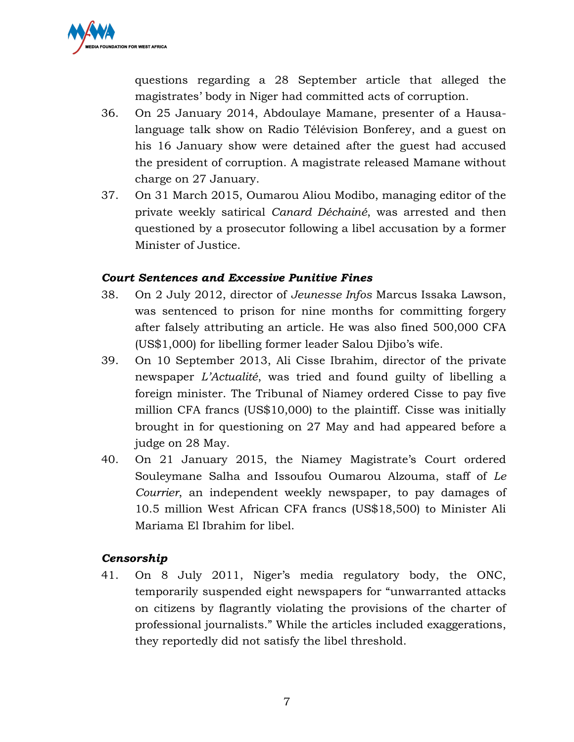

questions regarding a 28 September article that alleged the magistrates' body in Niger had committed acts of corruption.

- 36. On 25 January 2014, Abdoulaye Mamane, presenter of a Hausalanguage talk show on Radio Télévision Bonferey, and a guest on his 16 January show were detained after the guest had accused the president of corruption. A magistrate released Mamane without charge on 27 January.
- 37. On 31 March 2015, Oumarou Aliou Modibo, managing editor of the private weekly satirical *Canard Déchainé*, was arrested and then questioned by a prosecutor following a libel accusation by a former Minister of Justice.

## *Court Sentences and Excessive Punitive Fines*

- 38. On 2 July 2012, director of *Jeunesse Infos* Marcus Issaka Lawson, was sentenced to prison for nine months for committing forgery after falsely attributing an article. He was also fined 500,000 CFA (US\$1,000) for libelling former leader Salou Djibo's wife.
- 39. On 10 September 2013, Ali Cisse Ibrahim, director of the private newspaper *L'Actualité*, was tried and found guilty of libelling a foreign minister. The Tribunal of Niamey ordered Cisse to pay five million CFA francs (US\$10,000) to the plaintiff. Cisse was initially brought in for questioning on 27 May and had appeared before a judge on 28 May.
- 40. On 21 January 2015, the Niamey Magistrate's Court ordered Souleymane Salha and Issoufou Oumarou Alzouma, staff of *Le Courrier*, an independent weekly newspaper, to pay damages of 10.5 million West African CFA francs (US\$18,500) to Minister Ali Mariama El Ibrahim for libel.

# *Censorship*

41. On 8 July 2011, Niger's media regulatory body, the ONC, temporarily suspended eight newspapers for "unwarranted attacks on citizens by flagrantly violating the provisions of the charter of professional journalists." While the articles included exaggerations, they reportedly did not satisfy the libel threshold.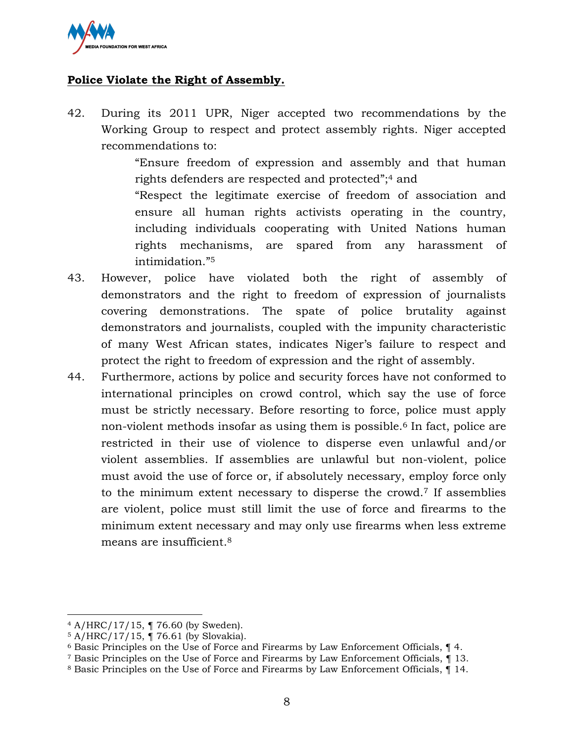

# **Police Violate the Right of Assembly.**

42. During its 2011 UPR, Niger accepted two recommendations by the Working Group to respect and protect assembly rights. Niger accepted recommendations to:

> "Ensure freedom of expression and assembly and that human rights defenders are respected and protected"; <sup>4</sup> and

> "Respect the legitimate exercise of freedom of association and ensure all human rights activists operating in the country, including individuals cooperating with United Nations human rights mechanisms, are spared from any harassment of intimidation." 5

- 43. However, police have violated both the right of assembly of demonstrators and the right to freedom of expression of journalists covering demonstrations. The spate of police brutality against demonstrators and journalists, coupled with the impunity characteristic of many West African states, indicates Niger's failure to respect and protect the right to freedom of expression and the right of assembly.
- 44. Furthermore, actions by police and security forces have not conformed to international principles on crowd control, which say the use of force must be strictly necessary. Before resorting to force, police must apply non-violent methods insofar as using them is possible.<sup>6</sup> In fact, police are restricted in their use of violence to disperse even unlawful and/or violent assemblies. If assemblies are unlawful but non-violent, police must avoid the use of force or, if absolutely necessary, employ force only to the minimum extent necessary to disperse the crowd.<sup>7</sup> If assemblies are violent, police must still limit the use of force and firearms to the minimum extent necessary and may only use firearms when less extreme means are insufficient.<sup>8</sup>

 $\overline{\phantom{a}}$ 

<sup>4</sup> A/HRC/17/15, ¶ 76.60 (by Sweden).

<sup>5</sup> A/HRC/17/15, ¶ 76.61 (by Slovakia).

<sup>6</sup> Basic Principles on the Use of Force and Firearms by Law Enforcement Officials, ¶ 4.

<sup>7</sup> Basic Principles on the Use of Force and Firearms by Law Enforcement Officials, ¶ 13.

<sup>8</sup> Basic Principles on the Use of Force and Firearms by Law Enforcement Officials, ¶ 14.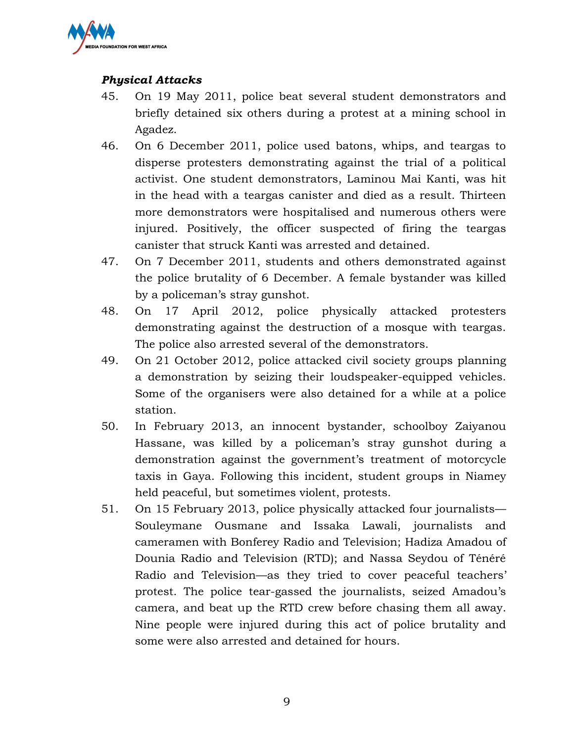

# *Physical Attacks*

- 45. On 19 May 2011, police beat several student demonstrators and briefly detained six others during a protest at a mining school in Agadez.
- 46. On 6 December 2011, police used batons, whips, and teargas to disperse protesters demonstrating against the trial of a political activist. One student demonstrators, Laminou Mai Kanti, was hit in the head with a teargas canister and died as a result. Thirteen more demonstrators were hospitalised and numerous others were injured. Positively, the officer suspected of firing the teargas canister that struck Kanti was arrested and detained.
- 47. On 7 December 2011, students and others demonstrated against the police brutality of 6 December. A female bystander was killed by a policeman's stray gunshot.
- 48. On 17 April 2012, police physically attacked protesters demonstrating against the destruction of a mosque with teargas. The police also arrested several of the demonstrators.
- 49. On 21 October 2012, police attacked civil society groups planning a demonstration by seizing their loudspeaker-equipped vehicles. Some of the organisers were also detained for a while at a police station.
- 50. In February 2013, an innocent bystander, schoolboy Zaiyanou Hassane, was killed by a policeman's stray gunshot during a demonstration against the government's treatment of motorcycle taxis in Gaya. Following this incident, student groups in Niamey held peaceful, but sometimes violent, protests.
- 51. On 15 February 2013, police physically attacked four journalists— Souleymane Ousmane and Issaka Lawali, journalists and cameramen with Bonferey Radio and Television; Hadiza Amadou of Dounia Radio and Television (RTD); and Nassa Seydou of Ténéré Radio and Television—as they tried to cover peaceful teachers' protest. The police tear-gassed the journalists, seized Amadou's camera, and beat up the RTD crew before chasing them all away. Nine people were injured during this act of police brutality and some were also arrested and detained for hours.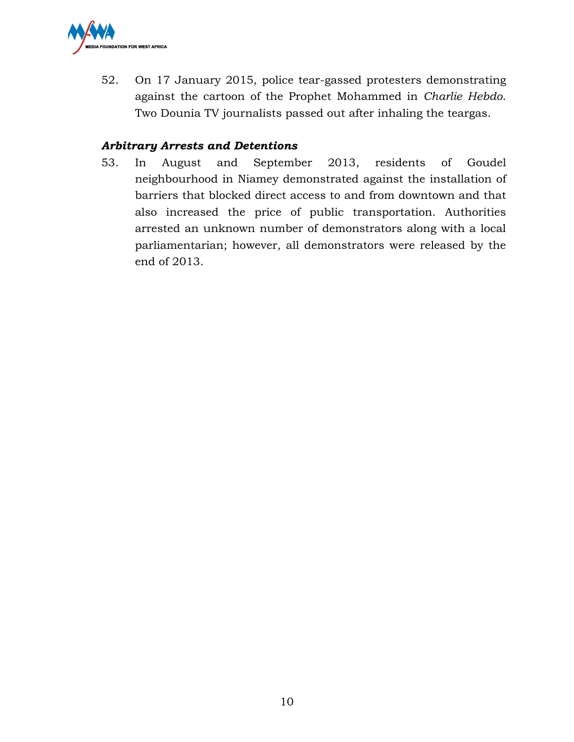

52. On 17 January 2015, police tear-gassed protesters demonstrating against the cartoon of the Prophet Mohammed in *Charlie Hebdo*. Two Dounia TV journalists passed out after inhaling the teargas.

## *Arbitrary Arrests and Detentions*

53. In August and September 2013, residents of Goudel neighbourhood in Niamey demonstrated against the installation of barriers that blocked direct access to and from downtown and that also increased the price of public transportation. Authorities arrested an unknown number of demonstrators along with a local parliamentarian; however, all demonstrators were released by the end of 2013.